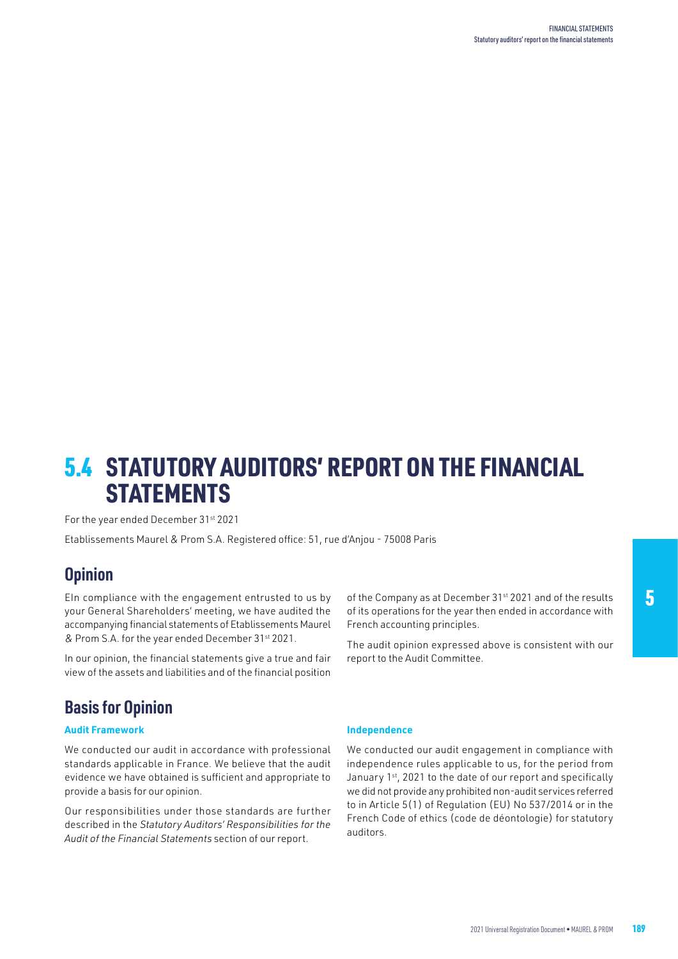# 5.4 STATUTORY AUDITORS' REPORT ON THE FINANCIAL **STATEMENTS**

For the year ended December 31st 2021

Etablissements Maurel & Prom S.A. Registered office: 51, rue d'Anjou - 75008 Paris

### **Opinion**

EIn compliance with the engagement entrusted to us by your General Shareholders' meeting, we have audited the accompanying financial statements of Etablissements Maurel & Prom S.A. for the year ended December 31st 2021.

In our opinion, the financial statements give a true and fair view of the assets and liabilities and of the financial position of the Company as at December 31<sup>st</sup> 2021 and of the results of its operations for the year then ended in accordance with French accounting principles.

The audit opinion expressed above is consistent with our report to the Audit Committee.

## **Basis for Opinion**

### **Audit Framework**

We conducted our audit in accordance with professional standards applicable in France. We believe that the audit evidence we have obtained is sufficient and appropriate to provide a basis for our opinion.

Our responsibilities under those standards are further described in the *Statutory Auditors' Responsibilities for the Audit of the Financial Statements* section of our report.

#### **Independence**

We conducted our audit engagement in compliance with independence rules applicable to us, for the period from January 1st, 2021 to the date of our report and specifically we did not provide any prohibited non-audit services referred to in Article 5(1) of Regulation (EU) No 537/2014 or in the French Code of ethics (code de déontologie) for statutory auditors.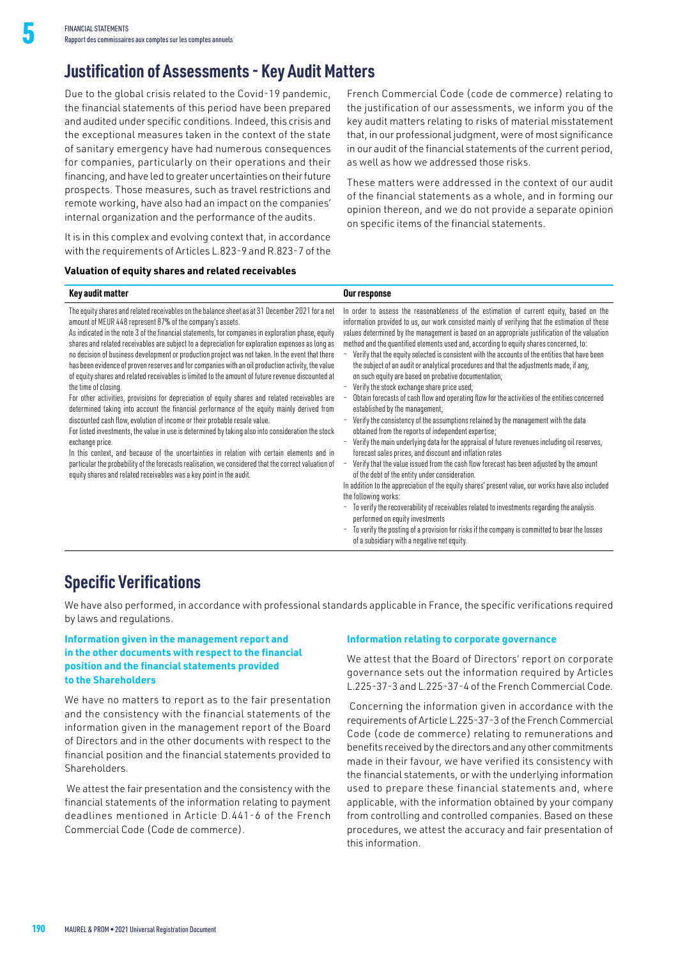## **Justification of Assessments - Key Audit Matters**

Due to the global crisis related to the Covid-19 pandemic, the financial statements of this period have been prepared and audited under specific conditions. Indeed, this crisis and the exceptional measures taken in the context of the state of sanitary emergency have had numerous consequences for companies, particularly on their operations and their financing, and have led to greater uncertainties on their future prospects. Those measures, such as travel restrictions and remote working, have also had an impact on the companies' internal organization and the performance of the audits.

It is in this complex and evolving context that, in accordance with the requirements of Articles L.823-9 and R.823-7 of the

#### **Valuation of equity shares and related receivables**

French Commercial Code (code de commerce) relating to the justification of our assessments, we inform you of the key audit matters relating to risks of material misstatement that, in our professional judgment, were of most significance in our audit of the financial statements of the current period, as well as how we addressed those risks.

These matters were addressed in the context of our audit of the financial statements as a whole, and in forming our opinion thereon, and we do not provide a separate opinion on specific items of the financial statements.

| Key audit matter                                                                                                                                                                                                                                                                                                                                                                                                                                                                                                                                                                                                                                                                                                                                                                                                                                                                                                                                                                                                                                                                                                                                                                                                                                                                                                                                                                                | Our response                                                                                                                                                                                                                                                                                                                                                                                                                                                                                                                                                                                                                                                                                                                                                                                                                                                                                                                                                                                                                                                                                                                                                                                                                                                                                                                                                                                                                                                                                                                                                                                                                                     |
|-------------------------------------------------------------------------------------------------------------------------------------------------------------------------------------------------------------------------------------------------------------------------------------------------------------------------------------------------------------------------------------------------------------------------------------------------------------------------------------------------------------------------------------------------------------------------------------------------------------------------------------------------------------------------------------------------------------------------------------------------------------------------------------------------------------------------------------------------------------------------------------------------------------------------------------------------------------------------------------------------------------------------------------------------------------------------------------------------------------------------------------------------------------------------------------------------------------------------------------------------------------------------------------------------------------------------------------------------------------------------------------------------|--------------------------------------------------------------------------------------------------------------------------------------------------------------------------------------------------------------------------------------------------------------------------------------------------------------------------------------------------------------------------------------------------------------------------------------------------------------------------------------------------------------------------------------------------------------------------------------------------------------------------------------------------------------------------------------------------------------------------------------------------------------------------------------------------------------------------------------------------------------------------------------------------------------------------------------------------------------------------------------------------------------------------------------------------------------------------------------------------------------------------------------------------------------------------------------------------------------------------------------------------------------------------------------------------------------------------------------------------------------------------------------------------------------------------------------------------------------------------------------------------------------------------------------------------------------------------------------------------------------------------------------------------|
| The equity shares and related receivables on the balance sheet as at 31 December 2021 for a net<br>amount of MEUR 448 represent 87% of the company's assets.<br>As indicated in the note 3 of the financial statements, for companies in exploration phase, equity<br>shares and related receivables are subject to a depreciation for exploration expenses as long as<br>no decision of business development or production project was not taken. In the event that there<br>has been evidence of proven reserves and for companies with an oil production activity, the value<br>of equity shares and related receivables is limited to the amount of future revenue discounted at<br>the time of closing.<br>For other activities, provisions for depreciation of equity shares and related receivables are<br>determined taking into account the financial performance of the equity mainly derived from<br>discounted cash flow, evolution of income or their probable resale value.<br>For listed investments, the value in use is determined by taking also into consideration the stock<br>exchange price.<br>In this context, and because of the uncertainties in relation with certain elements and in<br>particular the probability of the forecasts realisation, we considered that the correct valuation of<br>equity shares and related receivables was a key point in the audit. | In order to assess the reasonableness of the estimation of current equity, based on the<br>information provided to us, our work consisted mainly of verifying that the estimation of these<br>values determined by the management is based on an appropriate justification of the valuation<br>method and the quantified elements used and, according to equity shares concerned, to:<br>Verify that the equity selected is consistent with the accounts of the entities that have been<br>the subject of an audit or analytical procedures and that the adjustments made, if any,<br>on such equity are based on probative documentation;<br>Verify the stock exchange share price used;<br>Obtain forecasts of cash flow and operating flow for the activities of the entities concerned<br>established by the management;<br>Verify the consistency of the assumptions retained by the management with the data<br>obtained from the reports of independent expertise;<br>Verify the main underlying data for the appraisal of future revenues including oil reserves,<br>forecast sales prices, and discount and inflation rates<br>Verify that the value issued from the cash flow forecast has been adjusted by the amount<br>of the debt of the entity under consideration.<br>In addition to the appreciation of the equity shares' present value, our works have also included<br>the following works:<br>To verify the recoverability of receivables related to investments regarding the analysis<br>performed on equity investments<br>To verify the posting of a provision for risks if the company is committed to bear the losses |

### **Specific Verifications**

We have also performed, in accordance with professional standards applicable in France, the specific verifications required by laws and regulations.

### **Information given in the management report and in the other documents with respect to the financial position and the financial statements provided to the Shareholders**

We have no matters to report as to the fair presentation and the consistency with the financial statements of the information given in the management report of the Board of Directors and in the other documents with respect to the financial position and the financial statements provided to Shareholders.

 We attest the fair presentation and the consistency with the financial statements of the information relating to payment deadlines mentioned in Article D.441-6 of the French Commercial Code (Code de commerce).

#### **Information relating to corporate governance**

of a subsidiary with a negative net equity.

We attest that the Board of Directors' report on corporate governance sets out the information required by Articles L.225-37-3 and L.225-37-4 of the French Commercial Code.

 Concerning the information given in accordance with the requirements of Article L.225-37-3 of the French Commercial Code (code de commerce) relating to remunerations and benefits received by the directors and any other commitments made in their favour, we have verified its consistency with the financial statements, or with the underlying information used to prepare these financial statements and, where applicable, with the information obtained by your company from controlling and controlled companies. Based on these procedures, we attest the accuracy and fair presentation of this information.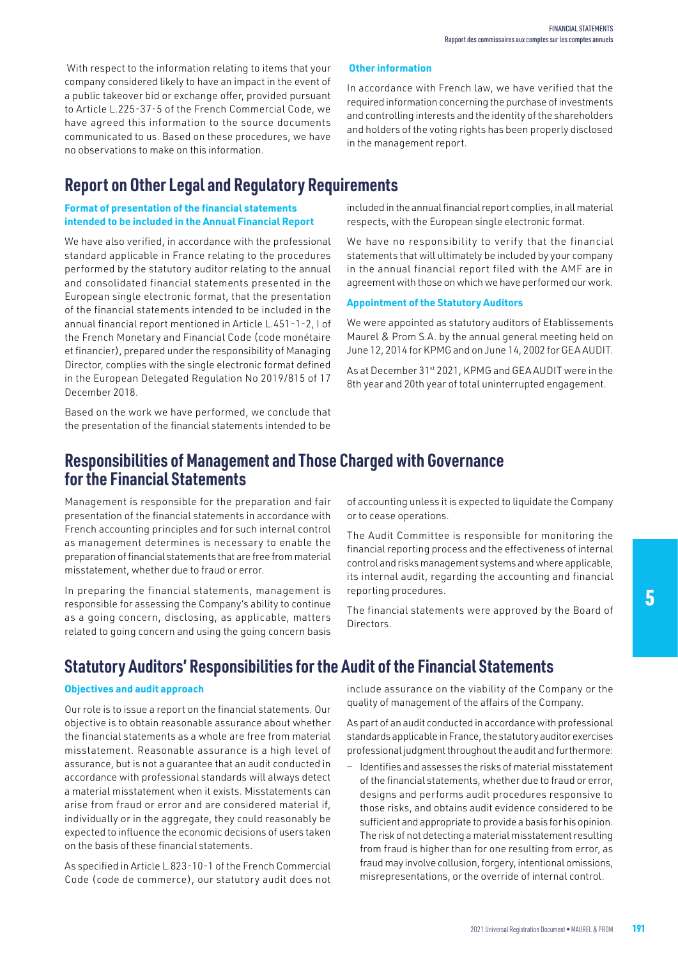With respect to the information relating to items that your company considered likely to have an impact in the event of a public takeover bid or exchange offer, provided pursuant to Article L.225-37-5 of the French Commercial Code, we have agreed this information to the source documents communicated to us. Based on these procedures, we have no observations to make on this information.

## **Report on Other Legal and Regulatory Requirements**

### **Format of presentation of the financial statements intended to be included in the Annual Financial Report**

We have also verified, in accordance with the professional standard applicable in France relating to the procedures performed by the statutory auditor relating to the annual and consolidated financial statements presented in the European single electronic format, that the presentation of the financial statements intended to be included in the annual financial report mentioned in Article L.451-1-2, I of the French Monetary and Financial Code (code monétaire et financier), prepared under the responsibility of Managing Director, complies with the single electronic format defined in the European Delegated Regulation No 2019/815 of 17 December 2018.

Based on the work we have performed, we conclude that the presentation of the financial statements intended to be

### included in the annual financial report complies, in all material respects, with the European single electronic format.

In accordance with French law, we have verified that the required information concerning the purchase of investments and controlling interests and the identity of the shareholders and holders of the voting rights has been properly disclosed

We have no responsibility to verify that the financial statements that will ultimately be included by your company in the annual financial report filed with the AMF are in agreement with those on which we have performed our work.

### **Appointment of the Statutory Auditors**

 **Other information**

in the management report.

We were appointed as statutory auditors of Etablissements Maurel & Prom S.A. by the annual general meeting held on June 12, 2014 for KPMG and on June 14, 2002 for GEA AUDIT.

As at December 31st 2021, KPMG and GEA AUDIT were in the 8th year and 20th year of total uninterrupted engagement.

### **Responsibilities of Management and Those Charged with Governance for the Financial Statements**

Management is responsible for the preparation and fair presentation of the financial statements in accordance with French accounting principles and for such internal control as management determines is necessary to enable the preparation of financial statements that are free from material misstatement, whether due to fraud or error.

In preparing the financial statements, management is responsible for assessing the Company's ability to continue as a going concern, disclosing, as applicable, matters related to going concern and using the going concern basis

of accounting unless it is expected to liquidate the Company or to cease operations.

The Audit Committee is responsible for monitoring the financial reporting process and the effectiveness of internal control and risks management systems and where applicable, its internal audit, regarding the accounting and financial reporting procedures.

The financial statements were approved by the Board of Directors.

# 5

# **Statutory Auditors' Responsibilities for the Audit of the Financial Statements**

### **Objectives and audit approach**

Our role is to issue a report on the financial statements. Our objective is to obtain reasonable assurance about whether the financial statements as a whole are free from material misstatement. Reasonable assurance is a high level of assurance, but is not a guarantee that an audit conducted in accordance with professional standards will always detect a material misstatement when it exists. Misstatements can arise from fraud or error and are considered material if, individually or in the aggregate, they could reasonably be expected to influence the economic decisions of users taken on the basis of these financial statements.

As specified in Article L.823-10-1 of the French Commercial Code (code de commerce), our statutory audit does not include assurance on the viability of the Company or the quality of management of the affairs of the Company.

As part of an audit conducted in accordance with professional standards applicable in France, the statutory auditor exercises professional judgment throughout the audit and furthermore:

− Identifies and assesses the risks of material misstatement of the financial statements, whether due to fraud or error, designs and performs audit procedures responsive to those risks, and obtains audit evidence considered to be sufficient and appropriate to provide a basis for his opinion. The risk of not detecting a material misstatement resulting from fraud is higher than for one resulting from error, as fraud may involve collusion, forgery, intentional omissions, misrepresentations, or the override of internal control.